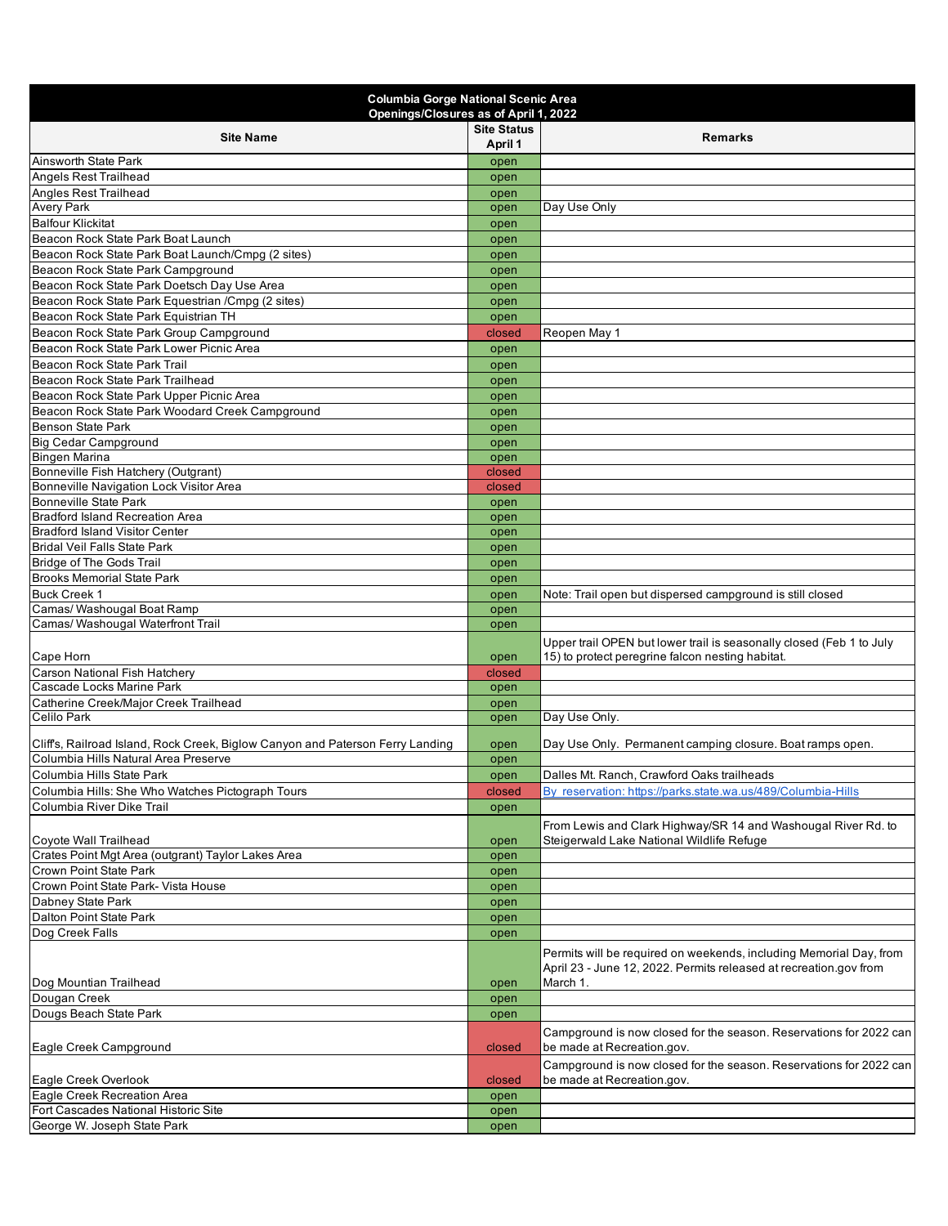| <b>Site Status</b><br><b>Site Name</b><br><b>Remarks</b><br>April 1<br>Ainsworth State Park<br>open<br><b>Angels Rest Trailhead</b><br>open<br><b>Angles Rest Trailhead</b><br>open<br><b>Avery Park</b><br>Day Use Only<br>open<br><b>Balfour Klickitat</b><br>open<br>Beacon Rock State Park Boat Launch<br>open<br>Beacon Rock State Park Boat Launch/Cmpg (2 sites)<br>open<br>Beacon Rock State Park Campground<br>open<br>Beacon Rock State Park Doetsch Day Use Area<br>open<br>Beacon Rock State Park Equestrian / Cmpq (2 sites)<br>open<br>Beacon Rock State Park Equistrian TH<br>open<br>Beacon Rock State Park Group Campground<br>closed<br>Reopen May 1<br>Beacon Rock State Park Lower Picnic Area<br>open<br>Beacon Rock State Park Trail<br>open<br>Beacon Rock State Park Trailhead<br>open<br>Beacon Rock State Park Upper Picnic Area<br>open<br>Beacon Rock State Park Woodard Creek Campground<br>open<br>Benson State Park<br>open<br><b>Big Cedar Campground</b><br>open<br><b>Bingen Marina</b><br>open<br>Bonneville Fish Hatchery (Outgrant)<br>closed<br>Bonneville Navigation Lock Visitor Area<br>closed<br><b>Bonneville State Park</b><br>open<br><b>Bradford Island Recreation Area</b><br>open<br><b>Bradford Island Visitor Center</b><br>open<br><b>Bridal Veil Falls State Park</b><br>open<br><b>Bridge of The Gods Trail</b><br>open<br><b>Brooks Memorial State Park</b><br>open<br><b>Buck Creek 1</b><br>Note: Trail open but dispersed campground is still closed<br>open<br>Camas/ Washougal Boat Ramp<br>open<br>Camas/ Washougal Waterfront Trail<br>open<br>Upper trail OPEN but lower trail is seasonally closed (Feb 1 to July<br>Cape Horn<br>15) to protect peregrine falcon nesting habitat.<br>open<br>Carson National Fish Hatchery<br>closed<br>Cascade Locks Marine Park<br>open<br>Catherine Creek/Major Creek Trailhead<br>open<br><b>Celilo Park</b><br>Day Use Only.<br>open<br>Cliffs, Railroad Island, Rock Creek, Biglow Canyon and Paterson Ferry Landing<br>Day Use Only. Permanent camping closure. Boat ramps open.<br>open<br>Columbia Hills Natural Area Preserve<br>open<br>Columbia Hills State Park<br>Dalles Mt. Ranch, Crawford Oaks trailheads<br>open<br>By reservation: https://parks.state.wa.us/489/Columbia-Hills<br>Columbia Hills: She Who Watches Pictograph Tours<br>closed<br>Columbia River Dike Trail<br>open<br>From Lewis and Clark Highway/SR 14 and Washougal River Rd. to<br>Coyote Wall Trailhead<br>Steigerwald Lake National Wildlife Refuge<br>open<br>Crates Point Mgt Area (outgrant) Taylor Lakes Area<br>open<br>Crown Point State Park<br>open<br>Crown Point State Park- Vista House<br>open<br>Dabney State Park<br>open<br>Dalton Point State Park<br>open<br>Dog Creek Falls<br>open<br>Permits will be required on weekends, including Memorial Day, from<br>April 23 - June 12, 2022. Permits released at recreation.gov from<br>Dog Mountian Trailhead<br>March 1.<br>open<br>Dougan Creek<br>open<br>Dougs Beach State Park<br>open<br>Campground is now closed for the season. Reservations for 2022 can<br>be made at Recreation.gov.<br>Eagle Creek Campground<br>closed<br>Campground is now closed for the season. Reservations for 2022 can<br>Eagle Creek Overlook<br>be made at Recreation.gov.<br>closed<br>Eagle Creek Recreation Area<br>open<br>Fort Cascades National Historic Site<br>open<br>George W. Joseph State Park<br>open | <b>Columbia Gorge National Scenic Area</b><br>Openings/Closures as of April 1, 2022 |  |  |  |  |
|---------------------------------------------------------------------------------------------------------------------------------------------------------------------------------------------------------------------------------------------------------------------------------------------------------------------------------------------------------------------------------------------------------------------------------------------------------------------------------------------------------------------------------------------------------------------------------------------------------------------------------------------------------------------------------------------------------------------------------------------------------------------------------------------------------------------------------------------------------------------------------------------------------------------------------------------------------------------------------------------------------------------------------------------------------------------------------------------------------------------------------------------------------------------------------------------------------------------------------------------------------------------------------------------------------------------------------------------------------------------------------------------------------------------------------------------------------------------------------------------------------------------------------------------------------------------------------------------------------------------------------------------------------------------------------------------------------------------------------------------------------------------------------------------------------------------------------------------------------------------------------------------------------------------------------------------------------------------------------------------------------------------------------------------------------------------------------------------------------------------------------------------------------------------------------------------------------------------------------------------------------------------------------------------------------------------------------------------------------------------------------------------------------------------------------------------------------------------------------------------------------------------------------------------------------------------------------------------------------------------------------------------------------------------------------------------------------------------------------------------------------------------------------------------------------------------------------------------------------------------------------------------------------------------------------------------------------------------------------------------------------------------------------------------------------------------------------------------------------------------------------------------------------------------------------------------------------------------------------------------------------------------------------------------------------------------------------------------------------------------------------------------------------------------------------------------------------------|-------------------------------------------------------------------------------------|--|--|--|--|
|                                                                                                                                                                                                                                                                                                                                                                                                                                                                                                                                                                                                                                                                                                                                                                                                                                                                                                                                                                                                                                                                                                                                                                                                                                                                                                                                                                                                                                                                                                                                                                                                                                                                                                                                                                                                                                                                                                                                                                                                                                                                                                                                                                                                                                                                                                                                                                                                                                                                                                                                                                                                                                                                                                                                                                                                                                                                                                                                                                                                                                                                                                                                                                                                                                                                                                                                                                                                                                                               |                                                                                     |  |  |  |  |
|                                                                                                                                                                                                                                                                                                                                                                                                                                                                                                                                                                                                                                                                                                                                                                                                                                                                                                                                                                                                                                                                                                                                                                                                                                                                                                                                                                                                                                                                                                                                                                                                                                                                                                                                                                                                                                                                                                                                                                                                                                                                                                                                                                                                                                                                                                                                                                                                                                                                                                                                                                                                                                                                                                                                                                                                                                                                                                                                                                                                                                                                                                                                                                                                                                                                                                                                                                                                                                                               |                                                                                     |  |  |  |  |
|                                                                                                                                                                                                                                                                                                                                                                                                                                                                                                                                                                                                                                                                                                                                                                                                                                                                                                                                                                                                                                                                                                                                                                                                                                                                                                                                                                                                                                                                                                                                                                                                                                                                                                                                                                                                                                                                                                                                                                                                                                                                                                                                                                                                                                                                                                                                                                                                                                                                                                                                                                                                                                                                                                                                                                                                                                                                                                                                                                                                                                                                                                                                                                                                                                                                                                                                                                                                                                                               |                                                                                     |  |  |  |  |
|                                                                                                                                                                                                                                                                                                                                                                                                                                                                                                                                                                                                                                                                                                                                                                                                                                                                                                                                                                                                                                                                                                                                                                                                                                                                                                                                                                                                                                                                                                                                                                                                                                                                                                                                                                                                                                                                                                                                                                                                                                                                                                                                                                                                                                                                                                                                                                                                                                                                                                                                                                                                                                                                                                                                                                                                                                                                                                                                                                                                                                                                                                                                                                                                                                                                                                                                                                                                                                                               |                                                                                     |  |  |  |  |
|                                                                                                                                                                                                                                                                                                                                                                                                                                                                                                                                                                                                                                                                                                                                                                                                                                                                                                                                                                                                                                                                                                                                                                                                                                                                                                                                                                                                                                                                                                                                                                                                                                                                                                                                                                                                                                                                                                                                                                                                                                                                                                                                                                                                                                                                                                                                                                                                                                                                                                                                                                                                                                                                                                                                                                                                                                                                                                                                                                                                                                                                                                                                                                                                                                                                                                                                                                                                                                                               |                                                                                     |  |  |  |  |
|                                                                                                                                                                                                                                                                                                                                                                                                                                                                                                                                                                                                                                                                                                                                                                                                                                                                                                                                                                                                                                                                                                                                                                                                                                                                                                                                                                                                                                                                                                                                                                                                                                                                                                                                                                                                                                                                                                                                                                                                                                                                                                                                                                                                                                                                                                                                                                                                                                                                                                                                                                                                                                                                                                                                                                                                                                                                                                                                                                                                                                                                                                                                                                                                                                                                                                                                                                                                                                                               |                                                                                     |  |  |  |  |
|                                                                                                                                                                                                                                                                                                                                                                                                                                                                                                                                                                                                                                                                                                                                                                                                                                                                                                                                                                                                                                                                                                                                                                                                                                                                                                                                                                                                                                                                                                                                                                                                                                                                                                                                                                                                                                                                                                                                                                                                                                                                                                                                                                                                                                                                                                                                                                                                                                                                                                                                                                                                                                                                                                                                                                                                                                                                                                                                                                                                                                                                                                                                                                                                                                                                                                                                                                                                                                                               |                                                                                     |  |  |  |  |
|                                                                                                                                                                                                                                                                                                                                                                                                                                                                                                                                                                                                                                                                                                                                                                                                                                                                                                                                                                                                                                                                                                                                                                                                                                                                                                                                                                                                                                                                                                                                                                                                                                                                                                                                                                                                                                                                                                                                                                                                                                                                                                                                                                                                                                                                                                                                                                                                                                                                                                                                                                                                                                                                                                                                                                                                                                                                                                                                                                                                                                                                                                                                                                                                                                                                                                                                                                                                                                                               |                                                                                     |  |  |  |  |
|                                                                                                                                                                                                                                                                                                                                                                                                                                                                                                                                                                                                                                                                                                                                                                                                                                                                                                                                                                                                                                                                                                                                                                                                                                                                                                                                                                                                                                                                                                                                                                                                                                                                                                                                                                                                                                                                                                                                                                                                                                                                                                                                                                                                                                                                                                                                                                                                                                                                                                                                                                                                                                                                                                                                                                                                                                                                                                                                                                                                                                                                                                                                                                                                                                                                                                                                                                                                                                                               |                                                                                     |  |  |  |  |
|                                                                                                                                                                                                                                                                                                                                                                                                                                                                                                                                                                                                                                                                                                                                                                                                                                                                                                                                                                                                                                                                                                                                                                                                                                                                                                                                                                                                                                                                                                                                                                                                                                                                                                                                                                                                                                                                                                                                                                                                                                                                                                                                                                                                                                                                                                                                                                                                                                                                                                                                                                                                                                                                                                                                                                                                                                                                                                                                                                                                                                                                                                                                                                                                                                                                                                                                                                                                                                                               |                                                                                     |  |  |  |  |
|                                                                                                                                                                                                                                                                                                                                                                                                                                                                                                                                                                                                                                                                                                                                                                                                                                                                                                                                                                                                                                                                                                                                                                                                                                                                                                                                                                                                                                                                                                                                                                                                                                                                                                                                                                                                                                                                                                                                                                                                                                                                                                                                                                                                                                                                                                                                                                                                                                                                                                                                                                                                                                                                                                                                                                                                                                                                                                                                                                                                                                                                                                                                                                                                                                                                                                                                                                                                                                                               |                                                                                     |  |  |  |  |
|                                                                                                                                                                                                                                                                                                                                                                                                                                                                                                                                                                                                                                                                                                                                                                                                                                                                                                                                                                                                                                                                                                                                                                                                                                                                                                                                                                                                                                                                                                                                                                                                                                                                                                                                                                                                                                                                                                                                                                                                                                                                                                                                                                                                                                                                                                                                                                                                                                                                                                                                                                                                                                                                                                                                                                                                                                                                                                                                                                                                                                                                                                                                                                                                                                                                                                                                                                                                                                                               |                                                                                     |  |  |  |  |
|                                                                                                                                                                                                                                                                                                                                                                                                                                                                                                                                                                                                                                                                                                                                                                                                                                                                                                                                                                                                                                                                                                                                                                                                                                                                                                                                                                                                                                                                                                                                                                                                                                                                                                                                                                                                                                                                                                                                                                                                                                                                                                                                                                                                                                                                                                                                                                                                                                                                                                                                                                                                                                                                                                                                                                                                                                                                                                                                                                                                                                                                                                                                                                                                                                                                                                                                                                                                                                                               |                                                                                     |  |  |  |  |
|                                                                                                                                                                                                                                                                                                                                                                                                                                                                                                                                                                                                                                                                                                                                                                                                                                                                                                                                                                                                                                                                                                                                                                                                                                                                                                                                                                                                                                                                                                                                                                                                                                                                                                                                                                                                                                                                                                                                                                                                                                                                                                                                                                                                                                                                                                                                                                                                                                                                                                                                                                                                                                                                                                                                                                                                                                                                                                                                                                                                                                                                                                                                                                                                                                                                                                                                                                                                                                                               |                                                                                     |  |  |  |  |
|                                                                                                                                                                                                                                                                                                                                                                                                                                                                                                                                                                                                                                                                                                                                                                                                                                                                                                                                                                                                                                                                                                                                                                                                                                                                                                                                                                                                                                                                                                                                                                                                                                                                                                                                                                                                                                                                                                                                                                                                                                                                                                                                                                                                                                                                                                                                                                                                                                                                                                                                                                                                                                                                                                                                                                                                                                                                                                                                                                                                                                                                                                                                                                                                                                                                                                                                                                                                                                                               |                                                                                     |  |  |  |  |
|                                                                                                                                                                                                                                                                                                                                                                                                                                                                                                                                                                                                                                                                                                                                                                                                                                                                                                                                                                                                                                                                                                                                                                                                                                                                                                                                                                                                                                                                                                                                                                                                                                                                                                                                                                                                                                                                                                                                                                                                                                                                                                                                                                                                                                                                                                                                                                                                                                                                                                                                                                                                                                                                                                                                                                                                                                                                                                                                                                                                                                                                                                                                                                                                                                                                                                                                                                                                                                                               |                                                                                     |  |  |  |  |
|                                                                                                                                                                                                                                                                                                                                                                                                                                                                                                                                                                                                                                                                                                                                                                                                                                                                                                                                                                                                                                                                                                                                                                                                                                                                                                                                                                                                                                                                                                                                                                                                                                                                                                                                                                                                                                                                                                                                                                                                                                                                                                                                                                                                                                                                                                                                                                                                                                                                                                                                                                                                                                                                                                                                                                                                                                                                                                                                                                                                                                                                                                                                                                                                                                                                                                                                                                                                                                                               |                                                                                     |  |  |  |  |
|                                                                                                                                                                                                                                                                                                                                                                                                                                                                                                                                                                                                                                                                                                                                                                                                                                                                                                                                                                                                                                                                                                                                                                                                                                                                                                                                                                                                                                                                                                                                                                                                                                                                                                                                                                                                                                                                                                                                                                                                                                                                                                                                                                                                                                                                                                                                                                                                                                                                                                                                                                                                                                                                                                                                                                                                                                                                                                                                                                                                                                                                                                                                                                                                                                                                                                                                                                                                                                                               |                                                                                     |  |  |  |  |
|                                                                                                                                                                                                                                                                                                                                                                                                                                                                                                                                                                                                                                                                                                                                                                                                                                                                                                                                                                                                                                                                                                                                                                                                                                                                                                                                                                                                                                                                                                                                                                                                                                                                                                                                                                                                                                                                                                                                                                                                                                                                                                                                                                                                                                                                                                                                                                                                                                                                                                                                                                                                                                                                                                                                                                                                                                                                                                                                                                                                                                                                                                                                                                                                                                                                                                                                                                                                                                                               |                                                                                     |  |  |  |  |
|                                                                                                                                                                                                                                                                                                                                                                                                                                                                                                                                                                                                                                                                                                                                                                                                                                                                                                                                                                                                                                                                                                                                                                                                                                                                                                                                                                                                                                                                                                                                                                                                                                                                                                                                                                                                                                                                                                                                                                                                                                                                                                                                                                                                                                                                                                                                                                                                                                                                                                                                                                                                                                                                                                                                                                                                                                                                                                                                                                                                                                                                                                                                                                                                                                                                                                                                                                                                                                                               |                                                                                     |  |  |  |  |
|                                                                                                                                                                                                                                                                                                                                                                                                                                                                                                                                                                                                                                                                                                                                                                                                                                                                                                                                                                                                                                                                                                                                                                                                                                                                                                                                                                                                                                                                                                                                                                                                                                                                                                                                                                                                                                                                                                                                                                                                                                                                                                                                                                                                                                                                                                                                                                                                                                                                                                                                                                                                                                                                                                                                                                                                                                                                                                                                                                                                                                                                                                                                                                                                                                                                                                                                                                                                                                                               |                                                                                     |  |  |  |  |
|                                                                                                                                                                                                                                                                                                                                                                                                                                                                                                                                                                                                                                                                                                                                                                                                                                                                                                                                                                                                                                                                                                                                                                                                                                                                                                                                                                                                                                                                                                                                                                                                                                                                                                                                                                                                                                                                                                                                                                                                                                                                                                                                                                                                                                                                                                                                                                                                                                                                                                                                                                                                                                                                                                                                                                                                                                                                                                                                                                                                                                                                                                                                                                                                                                                                                                                                                                                                                                                               |                                                                                     |  |  |  |  |
|                                                                                                                                                                                                                                                                                                                                                                                                                                                                                                                                                                                                                                                                                                                                                                                                                                                                                                                                                                                                                                                                                                                                                                                                                                                                                                                                                                                                                                                                                                                                                                                                                                                                                                                                                                                                                                                                                                                                                                                                                                                                                                                                                                                                                                                                                                                                                                                                                                                                                                                                                                                                                                                                                                                                                                                                                                                                                                                                                                                                                                                                                                                                                                                                                                                                                                                                                                                                                                                               |                                                                                     |  |  |  |  |
|                                                                                                                                                                                                                                                                                                                                                                                                                                                                                                                                                                                                                                                                                                                                                                                                                                                                                                                                                                                                                                                                                                                                                                                                                                                                                                                                                                                                                                                                                                                                                                                                                                                                                                                                                                                                                                                                                                                                                                                                                                                                                                                                                                                                                                                                                                                                                                                                                                                                                                                                                                                                                                                                                                                                                                                                                                                                                                                                                                                                                                                                                                                                                                                                                                                                                                                                                                                                                                                               |                                                                                     |  |  |  |  |
|                                                                                                                                                                                                                                                                                                                                                                                                                                                                                                                                                                                                                                                                                                                                                                                                                                                                                                                                                                                                                                                                                                                                                                                                                                                                                                                                                                                                                                                                                                                                                                                                                                                                                                                                                                                                                                                                                                                                                                                                                                                                                                                                                                                                                                                                                                                                                                                                                                                                                                                                                                                                                                                                                                                                                                                                                                                                                                                                                                                                                                                                                                                                                                                                                                                                                                                                                                                                                                                               |                                                                                     |  |  |  |  |
|                                                                                                                                                                                                                                                                                                                                                                                                                                                                                                                                                                                                                                                                                                                                                                                                                                                                                                                                                                                                                                                                                                                                                                                                                                                                                                                                                                                                                                                                                                                                                                                                                                                                                                                                                                                                                                                                                                                                                                                                                                                                                                                                                                                                                                                                                                                                                                                                                                                                                                                                                                                                                                                                                                                                                                                                                                                                                                                                                                                                                                                                                                                                                                                                                                                                                                                                                                                                                                                               |                                                                                     |  |  |  |  |
|                                                                                                                                                                                                                                                                                                                                                                                                                                                                                                                                                                                                                                                                                                                                                                                                                                                                                                                                                                                                                                                                                                                                                                                                                                                                                                                                                                                                                                                                                                                                                                                                                                                                                                                                                                                                                                                                                                                                                                                                                                                                                                                                                                                                                                                                                                                                                                                                                                                                                                                                                                                                                                                                                                                                                                                                                                                                                                                                                                                                                                                                                                                                                                                                                                                                                                                                                                                                                                                               |                                                                                     |  |  |  |  |
|                                                                                                                                                                                                                                                                                                                                                                                                                                                                                                                                                                                                                                                                                                                                                                                                                                                                                                                                                                                                                                                                                                                                                                                                                                                                                                                                                                                                                                                                                                                                                                                                                                                                                                                                                                                                                                                                                                                                                                                                                                                                                                                                                                                                                                                                                                                                                                                                                                                                                                                                                                                                                                                                                                                                                                                                                                                                                                                                                                                                                                                                                                                                                                                                                                                                                                                                                                                                                                                               |                                                                                     |  |  |  |  |
|                                                                                                                                                                                                                                                                                                                                                                                                                                                                                                                                                                                                                                                                                                                                                                                                                                                                                                                                                                                                                                                                                                                                                                                                                                                                                                                                                                                                                                                                                                                                                                                                                                                                                                                                                                                                                                                                                                                                                                                                                                                                                                                                                                                                                                                                                                                                                                                                                                                                                                                                                                                                                                                                                                                                                                                                                                                                                                                                                                                                                                                                                                                                                                                                                                                                                                                                                                                                                                                               |                                                                                     |  |  |  |  |
|                                                                                                                                                                                                                                                                                                                                                                                                                                                                                                                                                                                                                                                                                                                                                                                                                                                                                                                                                                                                                                                                                                                                                                                                                                                                                                                                                                                                                                                                                                                                                                                                                                                                                                                                                                                                                                                                                                                                                                                                                                                                                                                                                                                                                                                                                                                                                                                                                                                                                                                                                                                                                                                                                                                                                                                                                                                                                                                                                                                                                                                                                                                                                                                                                                                                                                                                                                                                                                                               |                                                                                     |  |  |  |  |
|                                                                                                                                                                                                                                                                                                                                                                                                                                                                                                                                                                                                                                                                                                                                                                                                                                                                                                                                                                                                                                                                                                                                                                                                                                                                                                                                                                                                                                                                                                                                                                                                                                                                                                                                                                                                                                                                                                                                                                                                                                                                                                                                                                                                                                                                                                                                                                                                                                                                                                                                                                                                                                                                                                                                                                                                                                                                                                                                                                                                                                                                                                                                                                                                                                                                                                                                                                                                                                                               |                                                                                     |  |  |  |  |
|                                                                                                                                                                                                                                                                                                                                                                                                                                                                                                                                                                                                                                                                                                                                                                                                                                                                                                                                                                                                                                                                                                                                                                                                                                                                                                                                                                                                                                                                                                                                                                                                                                                                                                                                                                                                                                                                                                                                                                                                                                                                                                                                                                                                                                                                                                                                                                                                                                                                                                                                                                                                                                                                                                                                                                                                                                                                                                                                                                                                                                                                                                                                                                                                                                                                                                                                                                                                                                                               |                                                                                     |  |  |  |  |
|                                                                                                                                                                                                                                                                                                                                                                                                                                                                                                                                                                                                                                                                                                                                                                                                                                                                                                                                                                                                                                                                                                                                                                                                                                                                                                                                                                                                                                                                                                                                                                                                                                                                                                                                                                                                                                                                                                                                                                                                                                                                                                                                                                                                                                                                                                                                                                                                                                                                                                                                                                                                                                                                                                                                                                                                                                                                                                                                                                                                                                                                                                                                                                                                                                                                                                                                                                                                                                                               |                                                                                     |  |  |  |  |
|                                                                                                                                                                                                                                                                                                                                                                                                                                                                                                                                                                                                                                                                                                                                                                                                                                                                                                                                                                                                                                                                                                                                                                                                                                                                                                                                                                                                                                                                                                                                                                                                                                                                                                                                                                                                                                                                                                                                                                                                                                                                                                                                                                                                                                                                                                                                                                                                                                                                                                                                                                                                                                                                                                                                                                                                                                                                                                                                                                                                                                                                                                                                                                                                                                                                                                                                                                                                                                                               |                                                                                     |  |  |  |  |
|                                                                                                                                                                                                                                                                                                                                                                                                                                                                                                                                                                                                                                                                                                                                                                                                                                                                                                                                                                                                                                                                                                                                                                                                                                                                                                                                                                                                                                                                                                                                                                                                                                                                                                                                                                                                                                                                                                                                                                                                                                                                                                                                                                                                                                                                                                                                                                                                                                                                                                                                                                                                                                                                                                                                                                                                                                                                                                                                                                                                                                                                                                                                                                                                                                                                                                                                                                                                                                                               |                                                                                     |  |  |  |  |
|                                                                                                                                                                                                                                                                                                                                                                                                                                                                                                                                                                                                                                                                                                                                                                                                                                                                                                                                                                                                                                                                                                                                                                                                                                                                                                                                                                                                                                                                                                                                                                                                                                                                                                                                                                                                                                                                                                                                                                                                                                                                                                                                                                                                                                                                                                                                                                                                                                                                                                                                                                                                                                                                                                                                                                                                                                                                                                                                                                                                                                                                                                                                                                                                                                                                                                                                                                                                                                                               |                                                                                     |  |  |  |  |
|                                                                                                                                                                                                                                                                                                                                                                                                                                                                                                                                                                                                                                                                                                                                                                                                                                                                                                                                                                                                                                                                                                                                                                                                                                                                                                                                                                                                                                                                                                                                                                                                                                                                                                                                                                                                                                                                                                                                                                                                                                                                                                                                                                                                                                                                                                                                                                                                                                                                                                                                                                                                                                                                                                                                                                                                                                                                                                                                                                                                                                                                                                                                                                                                                                                                                                                                                                                                                                                               |                                                                                     |  |  |  |  |
|                                                                                                                                                                                                                                                                                                                                                                                                                                                                                                                                                                                                                                                                                                                                                                                                                                                                                                                                                                                                                                                                                                                                                                                                                                                                                                                                                                                                                                                                                                                                                                                                                                                                                                                                                                                                                                                                                                                                                                                                                                                                                                                                                                                                                                                                                                                                                                                                                                                                                                                                                                                                                                                                                                                                                                                                                                                                                                                                                                                                                                                                                                                                                                                                                                                                                                                                                                                                                                                               |                                                                                     |  |  |  |  |
|                                                                                                                                                                                                                                                                                                                                                                                                                                                                                                                                                                                                                                                                                                                                                                                                                                                                                                                                                                                                                                                                                                                                                                                                                                                                                                                                                                                                                                                                                                                                                                                                                                                                                                                                                                                                                                                                                                                                                                                                                                                                                                                                                                                                                                                                                                                                                                                                                                                                                                                                                                                                                                                                                                                                                                                                                                                                                                                                                                                                                                                                                                                                                                                                                                                                                                                                                                                                                                                               |                                                                                     |  |  |  |  |
|                                                                                                                                                                                                                                                                                                                                                                                                                                                                                                                                                                                                                                                                                                                                                                                                                                                                                                                                                                                                                                                                                                                                                                                                                                                                                                                                                                                                                                                                                                                                                                                                                                                                                                                                                                                                                                                                                                                                                                                                                                                                                                                                                                                                                                                                                                                                                                                                                                                                                                                                                                                                                                                                                                                                                                                                                                                                                                                                                                                                                                                                                                                                                                                                                                                                                                                                                                                                                                                               |                                                                                     |  |  |  |  |
|                                                                                                                                                                                                                                                                                                                                                                                                                                                                                                                                                                                                                                                                                                                                                                                                                                                                                                                                                                                                                                                                                                                                                                                                                                                                                                                                                                                                                                                                                                                                                                                                                                                                                                                                                                                                                                                                                                                                                                                                                                                                                                                                                                                                                                                                                                                                                                                                                                                                                                                                                                                                                                                                                                                                                                                                                                                                                                                                                                                                                                                                                                                                                                                                                                                                                                                                                                                                                                                               |                                                                                     |  |  |  |  |
|                                                                                                                                                                                                                                                                                                                                                                                                                                                                                                                                                                                                                                                                                                                                                                                                                                                                                                                                                                                                                                                                                                                                                                                                                                                                                                                                                                                                                                                                                                                                                                                                                                                                                                                                                                                                                                                                                                                                                                                                                                                                                                                                                                                                                                                                                                                                                                                                                                                                                                                                                                                                                                                                                                                                                                                                                                                                                                                                                                                                                                                                                                                                                                                                                                                                                                                                                                                                                                                               |                                                                                     |  |  |  |  |
|                                                                                                                                                                                                                                                                                                                                                                                                                                                                                                                                                                                                                                                                                                                                                                                                                                                                                                                                                                                                                                                                                                                                                                                                                                                                                                                                                                                                                                                                                                                                                                                                                                                                                                                                                                                                                                                                                                                                                                                                                                                                                                                                                                                                                                                                                                                                                                                                                                                                                                                                                                                                                                                                                                                                                                                                                                                                                                                                                                                                                                                                                                                                                                                                                                                                                                                                                                                                                                                               |                                                                                     |  |  |  |  |
|                                                                                                                                                                                                                                                                                                                                                                                                                                                                                                                                                                                                                                                                                                                                                                                                                                                                                                                                                                                                                                                                                                                                                                                                                                                                                                                                                                                                                                                                                                                                                                                                                                                                                                                                                                                                                                                                                                                                                                                                                                                                                                                                                                                                                                                                                                                                                                                                                                                                                                                                                                                                                                                                                                                                                                                                                                                                                                                                                                                                                                                                                                                                                                                                                                                                                                                                                                                                                                                               |                                                                                     |  |  |  |  |
|                                                                                                                                                                                                                                                                                                                                                                                                                                                                                                                                                                                                                                                                                                                                                                                                                                                                                                                                                                                                                                                                                                                                                                                                                                                                                                                                                                                                                                                                                                                                                                                                                                                                                                                                                                                                                                                                                                                                                                                                                                                                                                                                                                                                                                                                                                                                                                                                                                                                                                                                                                                                                                                                                                                                                                                                                                                                                                                                                                                                                                                                                                                                                                                                                                                                                                                                                                                                                                                               |                                                                                     |  |  |  |  |
|                                                                                                                                                                                                                                                                                                                                                                                                                                                                                                                                                                                                                                                                                                                                                                                                                                                                                                                                                                                                                                                                                                                                                                                                                                                                                                                                                                                                                                                                                                                                                                                                                                                                                                                                                                                                                                                                                                                                                                                                                                                                                                                                                                                                                                                                                                                                                                                                                                                                                                                                                                                                                                                                                                                                                                                                                                                                                                                                                                                                                                                                                                                                                                                                                                                                                                                                                                                                                                                               |                                                                                     |  |  |  |  |
|                                                                                                                                                                                                                                                                                                                                                                                                                                                                                                                                                                                                                                                                                                                                                                                                                                                                                                                                                                                                                                                                                                                                                                                                                                                                                                                                                                                                                                                                                                                                                                                                                                                                                                                                                                                                                                                                                                                                                                                                                                                                                                                                                                                                                                                                                                                                                                                                                                                                                                                                                                                                                                                                                                                                                                                                                                                                                                                                                                                                                                                                                                                                                                                                                                                                                                                                                                                                                                                               |                                                                                     |  |  |  |  |
|                                                                                                                                                                                                                                                                                                                                                                                                                                                                                                                                                                                                                                                                                                                                                                                                                                                                                                                                                                                                                                                                                                                                                                                                                                                                                                                                                                                                                                                                                                                                                                                                                                                                                                                                                                                                                                                                                                                                                                                                                                                                                                                                                                                                                                                                                                                                                                                                                                                                                                                                                                                                                                                                                                                                                                                                                                                                                                                                                                                                                                                                                                                                                                                                                                                                                                                                                                                                                                                               |                                                                                     |  |  |  |  |
|                                                                                                                                                                                                                                                                                                                                                                                                                                                                                                                                                                                                                                                                                                                                                                                                                                                                                                                                                                                                                                                                                                                                                                                                                                                                                                                                                                                                                                                                                                                                                                                                                                                                                                                                                                                                                                                                                                                                                                                                                                                                                                                                                                                                                                                                                                                                                                                                                                                                                                                                                                                                                                                                                                                                                                                                                                                                                                                                                                                                                                                                                                                                                                                                                                                                                                                                                                                                                                                               |                                                                                     |  |  |  |  |
|                                                                                                                                                                                                                                                                                                                                                                                                                                                                                                                                                                                                                                                                                                                                                                                                                                                                                                                                                                                                                                                                                                                                                                                                                                                                                                                                                                                                                                                                                                                                                                                                                                                                                                                                                                                                                                                                                                                                                                                                                                                                                                                                                                                                                                                                                                                                                                                                                                                                                                                                                                                                                                                                                                                                                                                                                                                                                                                                                                                                                                                                                                                                                                                                                                                                                                                                                                                                                                                               |                                                                                     |  |  |  |  |
|                                                                                                                                                                                                                                                                                                                                                                                                                                                                                                                                                                                                                                                                                                                                                                                                                                                                                                                                                                                                                                                                                                                                                                                                                                                                                                                                                                                                                                                                                                                                                                                                                                                                                                                                                                                                                                                                                                                                                                                                                                                                                                                                                                                                                                                                                                                                                                                                                                                                                                                                                                                                                                                                                                                                                                                                                                                                                                                                                                                                                                                                                                                                                                                                                                                                                                                                                                                                                                                               |                                                                                     |  |  |  |  |
|                                                                                                                                                                                                                                                                                                                                                                                                                                                                                                                                                                                                                                                                                                                                                                                                                                                                                                                                                                                                                                                                                                                                                                                                                                                                                                                                                                                                                                                                                                                                                                                                                                                                                                                                                                                                                                                                                                                                                                                                                                                                                                                                                                                                                                                                                                                                                                                                                                                                                                                                                                                                                                                                                                                                                                                                                                                                                                                                                                                                                                                                                                                                                                                                                                                                                                                                                                                                                                                               |                                                                                     |  |  |  |  |
|                                                                                                                                                                                                                                                                                                                                                                                                                                                                                                                                                                                                                                                                                                                                                                                                                                                                                                                                                                                                                                                                                                                                                                                                                                                                                                                                                                                                                                                                                                                                                                                                                                                                                                                                                                                                                                                                                                                                                                                                                                                                                                                                                                                                                                                                                                                                                                                                                                                                                                                                                                                                                                                                                                                                                                                                                                                                                                                                                                                                                                                                                                                                                                                                                                                                                                                                                                                                                                                               |                                                                                     |  |  |  |  |
|                                                                                                                                                                                                                                                                                                                                                                                                                                                                                                                                                                                                                                                                                                                                                                                                                                                                                                                                                                                                                                                                                                                                                                                                                                                                                                                                                                                                                                                                                                                                                                                                                                                                                                                                                                                                                                                                                                                                                                                                                                                                                                                                                                                                                                                                                                                                                                                                                                                                                                                                                                                                                                                                                                                                                                                                                                                                                                                                                                                                                                                                                                                                                                                                                                                                                                                                                                                                                                                               |                                                                                     |  |  |  |  |
|                                                                                                                                                                                                                                                                                                                                                                                                                                                                                                                                                                                                                                                                                                                                                                                                                                                                                                                                                                                                                                                                                                                                                                                                                                                                                                                                                                                                                                                                                                                                                                                                                                                                                                                                                                                                                                                                                                                                                                                                                                                                                                                                                                                                                                                                                                                                                                                                                                                                                                                                                                                                                                                                                                                                                                                                                                                                                                                                                                                                                                                                                                                                                                                                                                                                                                                                                                                                                                                               |                                                                                     |  |  |  |  |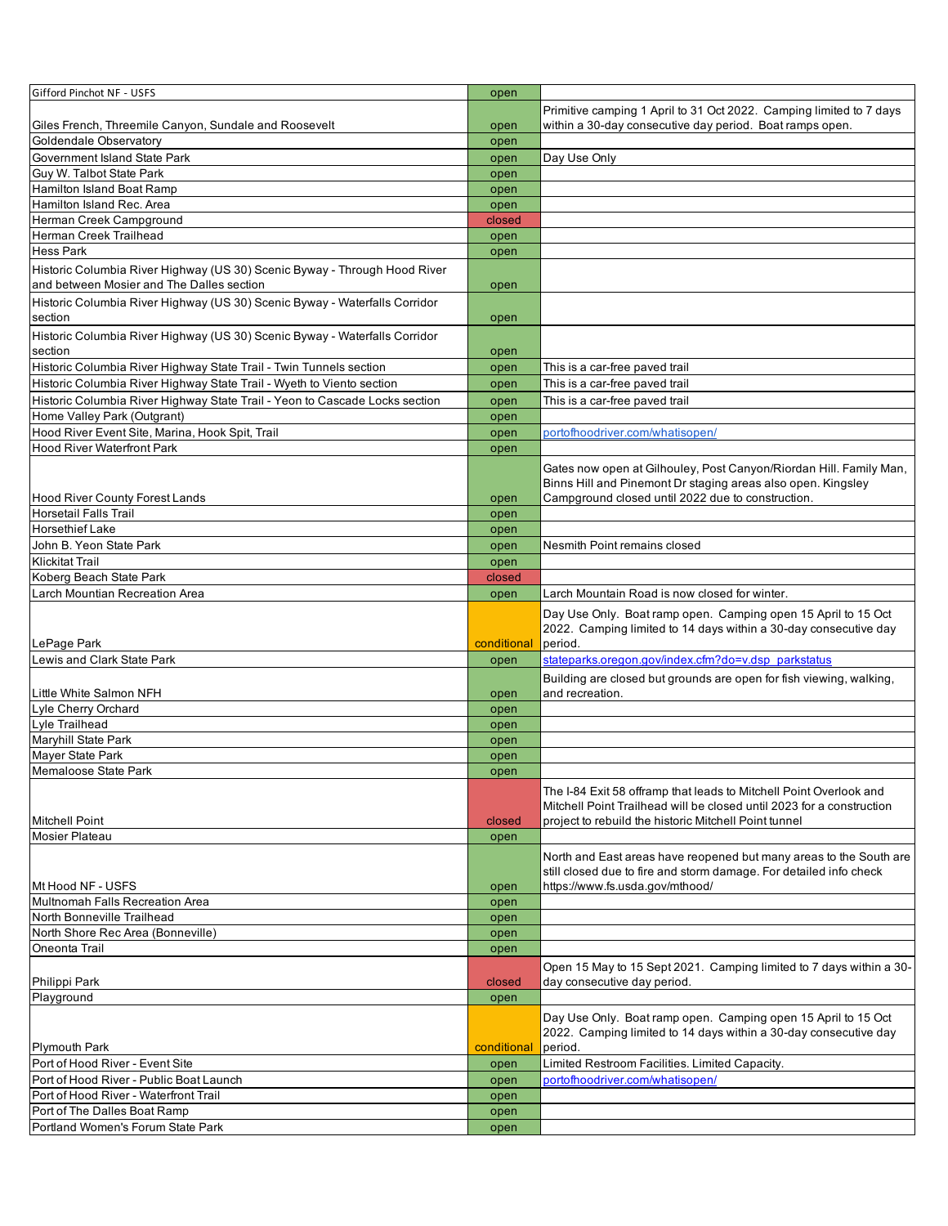| Gifford Pinchot NF - USFS                                                                                              | open         |                                                                                                                                          |
|------------------------------------------------------------------------------------------------------------------------|--------------|------------------------------------------------------------------------------------------------------------------------------------------|
|                                                                                                                        |              | Primitive camping 1 April to 31 Oct 2022. Camping limited to 7 days                                                                      |
| Giles French, Threemile Canyon, Sundale and Roosevelt                                                                  | open         | within a 30-day consecutive day period. Boat ramps open.                                                                                 |
| Goldendale Observatory                                                                                                 | open         |                                                                                                                                          |
| Government Island State Park                                                                                           | open         | Day Use Only                                                                                                                             |
| Guy W. Talbot State Park                                                                                               |              |                                                                                                                                          |
| <b>Hamilton Island Boat Ramp</b>                                                                                       | open         |                                                                                                                                          |
|                                                                                                                        | open         |                                                                                                                                          |
| Hamilton Island Rec. Area                                                                                              | open         |                                                                                                                                          |
| Herman Creek Campground                                                                                                | closed       |                                                                                                                                          |
| Herman Creek Trailhead                                                                                                 | open         |                                                                                                                                          |
| <b>Hess Park</b>                                                                                                       | open         |                                                                                                                                          |
| Historic Columbia River Highway (US 30) Scenic Byway - Through Hood River<br>and between Mosier and The Dalles section | open         |                                                                                                                                          |
|                                                                                                                        |              |                                                                                                                                          |
| Historic Columbia River Highway (US 30) Scenic Byway - Waterfalls Corridor                                             |              |                                                                                                                                          |
| section                                                                                                                | open         |                                                                                                                                          |
| Historic Columbia River Highway (US 30) Scenic Byway - Waterfalls Corridor                                             |              |                                                                                                                                          |
| section                                                                                                                | open         |                                                                                                                                          |
| Historic Columbia River Highway State Trail - Twin Tunnels section                                                     | open         | This is a car-free paved trail                                                                                                           |
| Historic Columbia River Highway State Trail - Wyeth to Viento section                                                  | open         | This is a car-free paved trail                                                                                                           |
| Historic Columbia River Highway State Trail - Yeon to Cascade Locks section                                            | open         | This is a car-free paved trail                                                                                                           |
| Home Valley Park (Outgrant)                                                                                            | open         |                                                                                                                                          |
| Hood River Event Site, Marina, Hook Spit, Trail                                                                        | open         | portofhoodriver.com/whatisopen/                                                                                                          |
| <b>Hood River Waterfront Park</b>                                                                                      | open         |                                                                                                                                          |
|                                                                                                                        |              |                                                                                                                                          |
|                                                                                                                        |              | Gates now open at Gilhouley, Post Canyon/Riordan Hill. Family Man,                                                                       |
|                                                                                                                        |              | Binns Hill and Pinemont Dr staging areas also open. Kingsley                                                                             |
| <b>Hood River County Forest Lands</b>                                                                                  | open         | Campground closed until 2022 due to construction.                                                                                        |
| <b>Horsetail Falls Trail</b>                                                                                           | open         |                                                                                                                                          |
| <b>Horsethief Lake</b>                                                                                                 | open         |                                                                                                                                          |
| John B. Yeon State Park                                                                                                | open         | Nesmith Point remains closed                                                                                                             |
| <b>Klickitat Trail</b>                                                                                                 | open         |                                                                                                                                          |
| Koberg Beach State Park                                                                                                | closed       |                                                                                                                                          |
| Larch Mountian Recreation Area                                                                                         | open         | Larch Mountain Road is now closed for winter.                                                                                            |
|                                                                                                                        |              | Day Use Only. Boat ramp open. Camping open 15 April to 15 Oct                                                                            |
|                                                                                                                        |              | 2022. Camping limited to 14 days within a 30-day consecutive day                                                                         |
|                                                                                                                        |              |                                                                                                                                          |
| LePage Park                                                                                                            | conditional  | period.                                                                                                                                  |
|                                                                                                                        |              |                                                                                                                                          |
| Lewis and Clark State Park                                                                                             | open         | stateparks.oregon.gov/index.cfm?do=v.dsp_parkstatus                                                                                      |
|                                                                                                                        |              | Building are closed but grounds are open for fish viewing, walking,                                                                      |
| Little White Salmon NFH                                                                                                | open         | and recreation.                                                                                                                          |
| Lyle Cherry Orchard                                                                                                    | open         |                                                                                                                                          |
| Lyle Trailhead                                                                                                         | open         |                                                                                                                                          |
| <b>Maryhill State Park</b>                                                                                             | open         |                                                                                                                                          |
| <b>Maver State Park</b>                                                                                                | open         |                                                                                                                                          |
| Memaloose State Park                                                                                                   | open         |                                                                                                                                          |
|                                                                                                                        |              | The I-84 Exit 58 offramp that leads to Mitchell Point Overlook and                                                                       |
|                                                                                                                        |              | Mitchell Point Trailhead will be closed until 2023 for a construction                                                                    |
| <b>Mitchell Point</b>                                                                                                  | closed       | project to rebuild the historic Mitchell Point tunnel                                                                                    |
| Mosier Plateau                                                                                                         | open         |                                                                                                                                          |
|                                                                                                                        |              |                                                                                                                                          |
|                                                                                                                        |              | North and East areas have reopened but many areas to the South are<br>still closed due to fire and storm damage. For detailed info check |
| Mt Hood NF - USFS                                                                                                      | open         | https://www.fs.usda.gov/mthood/                                                                                                          |
| Multnomah Falls Recreation Area                                                                                        | open         |                                                                                                                                          |
| North Bonneville Trailhead                                                                                             | open         |                                                                                                                                          |
| North Shore Rec Area (Bonneville)                                                                                      | open         |                                                                                                                                          |
| Oneonta Trail                                                                                                          | open         |                                                                                                                                          |
|                                                                                                                        |              |                                                                                                                                          |
|                                                                                                                        |              | Open 15 May to 15 Sept 2021. Camping limited to 7 days within a 30-                                                                      |
| Philippi Park                                                                                                          | closed       | day consecutive day period.                                                                                                              |
| Playground                                                                                                             | open         |                                                                                                                                          |
|                                                                                                                        |              | Day Use Only. Boat ramp open. Camping open 15 April to 15 Oct                                                                            |
|                                                                                                                        |              | 2022. Camping limited to 14 days within a 30-day consecutive day                                                                         |
| <b>Plymouth Park</b>                                                                                                   | conditional  | period.                                                                                                                                  |
| Port of Hood River - Event Site                                                                                        | open         | Limited Restroom Facilities. Limited Capacity.                                                                                           |
| Port of Hood River - Public Boat Launch                                                                                | open         | portofhoodriver.com/whatisopen/                                                                                                          |
| Port of Hood River - Waterfront Trail                                                                                  | open         |                                                                                                                                          |
| Port of The Dalles Boat Ramp<br>Portland Women's Forum State Park                                                      | open<br>open |                                                                                                                                          |